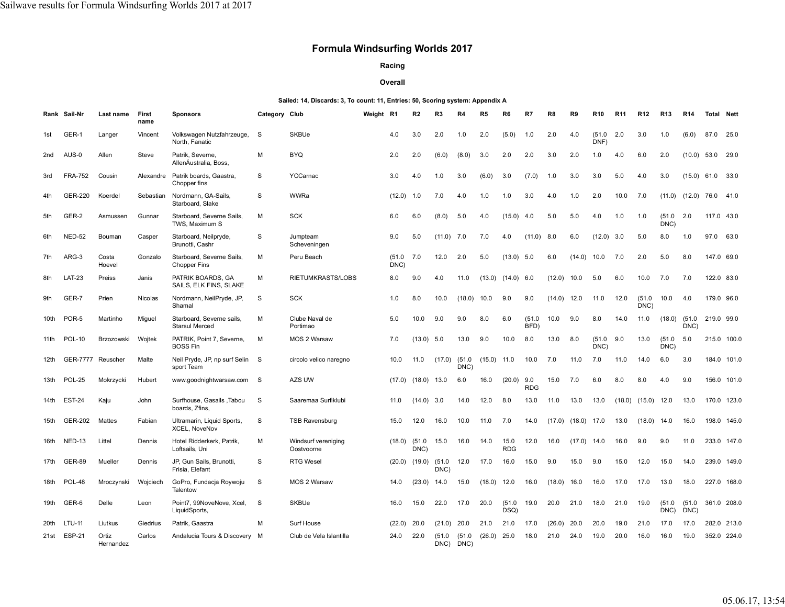## **Formula Windsurfing Worlds 2017**

## **Racing**

## **Overall**

## **Sailed: 14, Discards: 3, To count: 11, Entries: 50, Scoring system: Appendix A**

|                  | Rank Sail-Nr   | Last name          | First<br>name | <b>Sponsors</b>                                    | Category Club |                                   | Weight R1 |                | R2             | R3             | R4             | R5            | R6                 | R7                | R8            | R9                     | <b>R10</b>     | <b>R11</b> | R12            | R <sub>13</sub>   | <b>R14</b>     | <b>Total Nett</b>  |             |
|------------------|----------------|--------------------|---------------|----------------------------------------------------|---------------|-----------------------------------|-----------|----------------|----------------|----------------|----------------|---------------|--------------------|-------------------|---------------|------------------------|----------------|------------|----------------|-------------------|----------------|--------------------|-------------|
| 1st              | GER-1          | Langer             | Vincent       | Volkswagen Nutzfahrzeuge,<br>North, Fanatic        | <b>S</b>      | <b>SKBUe</b>                      |           | 4.0            | 3.0            | 2.0            | 1.0            | 2.0           | (5.0)              | 1.0               | 2.0           | 4.0                    | (51.0)<br>DNF  | 2.0        | 3.0            | 1.0               | (6.0)          | 87.0 25.0          |             |
| 2nd              | AUS-0          | Allen              | Steve         | Patrik, Severne,<br>AllenÁustralia, Boss.          | М             | <b>BYQ</b>                        |           | 2.0            | 2.0            | (6.0)          | (8.0)          | 3.0           | 2.0                | 2.0               | 3.0           | 2.0                    | 1.0            | 4.0        | 6.0            | 2.0               | (10.0)         | 53.0 29.0          |             |
| 3rd              | <b>FRA-752</b> | Cousin             | Alexandre     | Patrik boards, Gaastra,<br>Chopper fins            | S             | YCCarnac                          |           | 3.0            | 4.0            | 1.0            | 3.0            | (6.0)         | 3.0                | (7.0)             | 1.0           | 3.0                    | 3.0            | 5.0        | 4.0            | 3.0               |                | $(15.0)$ 61.0 33.0 |             |
| 4th              | <b>GER-220</b> | Koerdel            | Sebastian     | Nordmann, GA-Sails,<br>Starboard, Slake            | S             | WWRa                              |           | (12.0)         | 1.0            | 7.0            | 4.0            | 1.0           | 1.0                | 3.0               | 4.0           | 1.0                    | 2.0            | 10.0       | 7.0            | (11.0)            | (12.0)         | 76.0               | 41.0        |
| 5th              | GER-2          | Asmussen           | Gunnar        | Starboard, Severne Sails,<br>TWS, Maximum S        | М             | <b>SCK</b>                        |           | 6.0            | 6.0            | (8.0)          | 5.0            | 4.0           | (15.0)             | 4.0               | 5.0           | 5.0                    | 4.0            | 1.0        | 1.0            | (51.0)<br>DNC)    | 2.0            | 117.0 43.0         |             |
| 6th              | <b>NED-52</b>  | Bouman             | Casper        | Starboard, Neilpryde,<br>Brunotti, Cashr           | S             | Jumpteam<br>Scheveningen          |           | 9.0            | 5.0            | (11.0)         | 7.0            | 7.0           | 4.0                | (11.0)            | 8.0           | 6.0                    | (12.0)         | 3.0        | 5.0            | 8.0               | 1.0            | 97.0               | 63.0        |
| 7th              | ARG-3          | Costa<br>Hoevel    | Gonzalo       | Starboard, Severne Sails,<br><b>Chopper Fins</b>   | м             | Peru Beach                        |           | (51.0)<br>DNC) | 7.0            | 12.0           | 2.0            | 5.0           | $(13.0)$ 5.0       |                   | 6.0           | (14.0)                 | 10.0           | 7.0        | 2.0            | 5.0               | 8.0            | 147.0 69.0         |             |
| 8th              | <b>LAT-23</b>  | Preiss             | Janis         | PATRIK BOARDS, GA<br>SAILS, ELK FINS, SLAKE        | М             | RIETUMKRASTS/LOBS                 |           | 8.0            | 9.0            | 4.0            | 11.0           | (13.0)        | $(14.0)$ 6.0       |                   | (12.0)        | 10.0                   | 5.0            | 6.0        | 10.0           | 7.0               | 7.0            | 122.0 83.0         |             |
| 9th              | GER-7          | Prien              | Nicolas       | Nordmann, NeilPryde, JP,<br>Shamal                 | S             | <b>SCK</b>                        |           | 1.0            | 8.0            | 10.0           | (18.0)         | 10.0          | 9.0                | 9.0               | $(14.0)$ 12.0 |                        | 11.0           | 12.0       | (51.0)<br>DNC) | 10.0              | 4.0            | 179.0 96.0         |             |
| 10th             | POR-5          | Martinho           | Miguel        | Starboard, Severne sails,<br><b>Starsul Merced</b> | М             | Clube Naval de<br>Portimao        |           | 5.0            | 10.0           | 9.0            | 9.0            | 8.0           | 6.0                | (51.0)<br>BFD)    | 10.0          | 9.0                    | 8.0            | 14.0       | 11.0           | $(18.0)$ $(51.0)$ | DNC)           | 219.0 99.0         |             |
| 11th             | <b>POL-10</b>  | Brzozowski         | Wojtek        | PATRIK, Point 7, Severne,<br><b>BOSS Fin</b>       | м             | MOS 2 Warsaw                      |           | 7.0            | $(13.0)$ 5.0   |                | 13.0           | 9.0           | 10.0               | 8.0               | 13.0          | 8.0                    | (51.0)<br>DNC) | 9.0        | 13.0           | (51.0)<br>DNC)    | 5.0            |                    | 215.0 100.0 |
| 12th             | GER-7777       | Reuscher           | Malte         | Neil Pryde, JP, np surf Selin S<br>sport Team      |               | circolo velico naregno            |           | 10.0           | 11.0           | (17.0)         | (51.0)<br>DNC) | $(15.0)$ 11.0 |                    | 10.0              | 7.0           | 11.0                   | 7.0            | 11.0       | 14.0           | 6.0               | 3.0            |                    | 184.0 101.0 |
| 13th             | <b>POL-25</b>  | Mokrzycki          | Hubert        | www.goodnightwarsaw.com                            | - S           | AZS UW                            |           | (17.0)         | $(18.0)$ 13.0  |                | 6.0            | 16.0          | (20.0)             | 9.0<br><b>RDG</b> | 15.0          | 7.0                    | 6.0            | 8.0        | 8.0            | 4.0               | 9.0            |                    | 156.0 101.0 |
| 14th             | <b>EST-24</b>  | Kaju               | John          | Surfhouse, Gasails, Tabou<br>boards, Zfins,        | S             | Saaremaa Surfiklubi               |           | 11.0           | (14.0)         | 3.0            | 14.0           | 12.0          | 8.0                | 13.0              | 11.0          | 13.0                   | 13.0           | (18.0)     | $(15.0)$ 12.0  |                   | 13.0           |                    | 170.0 123.0 |
| 15th             | GER-202        | Mattes             | Fabian        | Ultramarin, Liquid Sports,<br>XCEL, NoveNov        | S             | <b>TSB Ravensburg</b>             |           | 15.0           | 12.0           | 16.0           | 10.0           | 11.0          | 7.0                | 14.0              |               | $(17.0)$ $(18.0)$ 17.0 |                | 13.0       | $(18.0)$ 14.0  |                   | 16.0           |                    | 198.0 145.0 |
| 16th             | NED-13         | Littel             | Dennis        | Hotel Ridderkerk, Patrik,<br>Loftsails, Uni        | М             | Windsurf vereniging<br>Oostvoorne |           | (18.0)         | (51.0)<br>DNC) | 15.0           | 16.0           | 14.0          | 15.0<br><b>RDG</b> | 12.0              | 16.0          | (17.0)                 | 14.0           | 16.0       | 9.0            | 9.0               | 11.0           |                    | 233.0 147.0 |
| 17th             | <b>GER-89</b>  | Mueller            | Dennis        | JP, Gun Sails, Brunotti,<br>Frisia, Elefant        | S             | <b>RTG Wesel</b>                  |           | (20.0)         | (19.0)         | (51.0)<br>DNC) | 12.0           | 17.0          | 16.0               | 15.0              | 9.0           | 15.0                   | 9.0            | 15.0       | 12.0           | 15.0              | 14.0           |                    | 239.0 149.0 |
| 18 <sub>th</sub> | <b>POL-48</b>  | Mroczynski         | Wojciech      | GoPro, Fundacja Roywoju<br>Talentow                | S             | MOS 2 Warsaw                      |           | 14.0           | (23.0)         | 14.0           | 15.0           | (18.0)        | 12.0               | 16.0              | (18.0)        | 16.0                   | 16.0           | 17.0       | 17.0           | 13.0              | 18.0           |                    | 227.0 168.0 |
| 19th             | GER-6          | Delle              | Leon          | Point7, 99NoveNove, Xcel,<br>LiquidSports,         | S             | <b>SKBUe</b>                      |           | 16.0           | 15.0           | 22.0           | 17.0           | 20.0          | (51.0)<br>DSQ)     | 19.0              | 20.0          | 21.0                   | 18.0           | 21.0       | 19.0           | (51.0)<br>DNC)    | (51.0)<br>DNC) | 361.0 208.0        |             |
| 20th             | LTU-11         | Liutkus            | Giedrius      | Patrik, Gaastra                                    | M             | Surf House                        |           | (22.0)         | 20.0           | (21.0)         | 20.0           | 21.0          | 21.0               | 17.0              | (26.0)        | 20.0                   | 20.0           | 19.0       | 21.0           | 17.0              | 17.0           |                    | 282.0 213.0 |
| 21st             | <b>ESP-21</b>  | Ortiz<br>Hernandez | Carlos        | Andalucia Tours & Discovery M                      |               | Club de Vela Islantilla           |           | 24.0           | 22.0           | (51.0)<br>DNC) | (51.0)<br>DNC) | $(26.0)$ 25.0 |                    | 18.0              | 21.0          | 24.0                   | 19.0           | 20.0       | 16.0           | 16.0              | 19.0           |                    | 352.0 224.0 |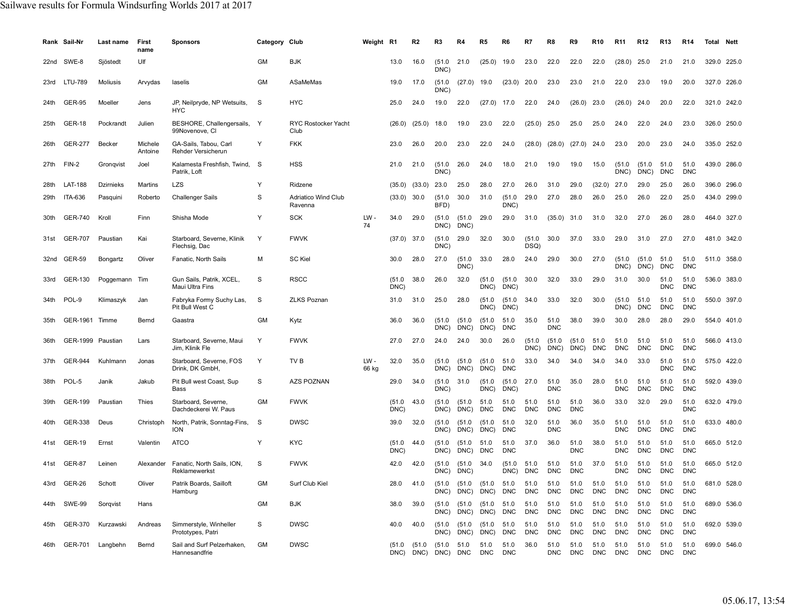|      | Rank Sail-Nr      | Last name         | First<br>name      | <b>Sponsors</b>                               | Category Club |                                | Weight R1     |                | R2                                                      | R3             | R4                  | R5                     | R6                 |                    |                    | R9                 | <b>R10</b>         | R11                | R <sub>12</sub>    | R <sub>13</sub>    | R14                | Total | Nett        |
|------|-------------------|-------------------|--------------------|-----------------------------------------------|---------------|--------------------------------|---------------|----------------|---------------------------------------------------------|----------------|---------------------|------------------------|--------------------|--------------------|--------------------|--------------------|--------------------|--------------------|--------------------|--------------------|--------------------|-------|-------------|
| 22nd | SWE-8             | Sjöstedt          | Ulf                |                                               | <b>GM</b>     | <b>BJK</b>                     |               | 13.0           | 16.0                                                    | (51.0)<br>DNC) | 21.0                | (25.0)                 | 19.0               | 23.0               | 22.0               | 22.0               | 22.0               | (28.0)             | 25.0               | 21.0               | 21.0               |       | 329.0 225.0 |
| 23rd | <b>LTU-789</b>    | <b>Moliusis</b>   | Arvydas            | laselis                                       | <b>GM</b>     | ASaMeMas                       |               | 19.0           | 17.0                                                    | (51.0)<br>DNC) | (27.0)              | 19.0                   | (23.0)             | 20.0               | 23.0               | 23.0               | 21.0               | 22.0               | 23.0               | 19.0               | 20.0               |       | 327.0 226.0 |
| 24th | <b>GER-95</b>     | Moeller           | Jens               | JP, Neilpryde, NP Wetsuits,<br><b>HYC</b>     | -S            | <b>HYC</b>                     |               | 25.0           | 24.0                                                    | 19.0           | 22.0                | $(27.0)$ 17.0          |                    | 22.0               | 24.0               | (26.0)             | 23.0               | (26.0)             | 24.0               | 20.0               | 22.0               |       | 321.0 242.0 |
| 25th | <b>GER-18</b>     | Pockrandt         | Julien             | BESHORE, Challengersails, Y<br>99Novenove, CI |               | RYC Rostocker Yacht<br>Club    |               | (26.0)         | (25.0)                                                  | 18.0           | 19.0                | 23.0                   | 22.0               | (25.0)             | 25.0               | 25.0               | 25.0               | 24.0               | 22.0               | 24.0               | 23.0               |       | 326.0 250.0 |
| 26th | <b>GER-277</b>    | Becker            | Michele<br>Antoine | GA-Sails, Tabou, Carl<br>Rehder Versicherun   | Y             | <b>FKK</b>                     |               | 23.0           | 26.0                                                    | 20.0           | 23.0                | 22.0                   | 24.0               | (28.0)             | (28.0)             | $(27.0)$ 24.0      |                    | 23.0               | 20.0               | 23.0               | 24.0               |       | 335.0 252.0 |
| 27th | FIN-2             | Gronqvist         | Joel               | Kalamesta Freshfish, Twind. S<br>Patrik. Loft |               | <b>HSS</b>                     |               | 21.0           | 21.0                                                    | (51.0)<br>DNC) | 26.0                | 24.0                   | 18.0               | 21.0               | 19.0               | 19.0               | 15.0               | (51.0)<br>DNC)     | (51.0)<br>DNC)     | 51.0<br><b>DNC</b> | 51.0<br><b>DNC</b> |       | 439.0 286.0 |
| 28th | <b>LAT-188</b>    | <b>Dzirnieks</b>  | Martins            | <b>LZS</b>                                    | Y             | Ridzene                        |               | (35.0)         | (33.0)                                                  | 23.0           | 25.0                | 28.0                   | 27.0               | 26.0               | 31.0               | 29.0               | (32.0)             | 27.0               | 29.0               | 25.0               | 26.0               |       | 396.0 296.0 |
| 29th | ITA-636           | Pasquini          | Roberto            | <b>Challenger Sails</b>                       | S             | Adriatico Wind Club<br>Ravenna |               | $(33.0)$ 30.0  |                                                         | (51.0)<br>BFD) | 30.0                | 31.0                   | (51.0)<br>DNC)     | 29.0               | 27.0               | 28.0               | 26.0               | 25.0               | 26.0               | 22.0               | 25.0               |       | 434.0 299.0 |
| 30th | <b>GER-740</b>    | Kroll             | Finn               | Shisha Mode                                   | Y             | <b>SCK</b>                     | $LW -$<br>74  | 34.0           | 29.0                                                    | (51.0)<br>DNC) | (51.0<br>DNC)       | 29.0                   | 29.0               | 31.0               | (35.0)             | 31.0               | 31.0               | 32.0               | 27.0               | 26.0               | 28.0               |       | 464.0 327.0 |
| 31st | <b>GER-707</b>    | Paustian          | Kai                | Starboard, Severne, Klinik<br>Flechsig, Dac   | Y             | <b>FWVK</b>                    |               | $(37.0)$ 37.0  |                                                         | (51.0)<br>DNC) | 29.0                | 32.0                   | 30.0               | (51.0)<br>DSQ)     | 30.0               | 37.0               | 33.0               | 29.0               | 31.0               | 27.0               | 27.0               |       | 481.0 342.0 |
| 32nd | <b>GER-59</b>     | Bongartz          | Oliver             | Fanatic, North Sails                          | М             | <b>SC Kiel</b>                 |               | 30.0           | 28.0                                                    | 27.0           | (51.0)<br>DNC)      | 33.0                   | 28.0               | 24.0               | 29.0               | 30.0               | 27.0               | (51.0)<br>DNC)     | (51.0)<br>DNC)     | 51.0<br><b>DNC</b> | 51.0<br><b>DNC</b> |       | 511.0 358.0 |
| 33rd | GER-130           | Poggemann Tim     |                    | Gun Sails, Patrik, XCEL,<br>Maui Ultra Fins   | S             | <b>RSCC</b>                    |               | (51.0)<br>DNC) | 38.0                                                    | 26.0           | 32.0                | (51.0)<br>DNC)         | (51.0)<br>DNC)     | 30.0               | 32.0               | 33.0               | 29.0               | 31.0               | 30.0               | 51.0<br><b>DNC</b> | 51.0<br><b>DNC</b> |       | 536.0 383.0 |
| 34th | POL-9             | Klimaszyk         | Jan                | Fabryka Formy Suchy Las,<br>Pit Bull West C   | S             | <b>ZLKS Poznan</b>             |               | 31.0           | 31.0                                                    | 25.0           | 28.0                | (51.0)<br>DNC)         | (51.0<br>DNC)      | 34.0               | 33.0               | 32.0               | 30.0               | (51.0)<br>DNC)     | 51.0<br><b>DNC</b> | 51.0<br><b>DNC</b> | 51.0<br><b>DNC</b> |       | 550.0 397.0 |
| 35th | GER-1961          | Timme             | Bernd              | Gaastra                                       | <b>GM</b>     | Kytz                           |               | 36.0           | 36.0                                                    | (51.0)<br>DNC) | (51.0)<br>DNC)      | (51.0)<br>DNC)         | 51.0<br><b>DNC</b> | 35.0               | 51.0<br><b>DNC</b> | 38.0               | 39.0               | 30.0               | 28.0               | 28.0               | 29.0               |       | 554.0 401.0 |
| 36th | GER-1999 Paustian |                   | Lars               | Starboard, Severne, Maui<br>Jim, Klinik Fle   | Y             | <b>FWVK</b>                    |               | 27.0           | 27.0                                                    | 24.0           | 24.0                | 30.0                   | 26.0               | (51.0)<br>DNC)     | (51.0)<br>DNC)     | (51.0)<br>DNC)     | 51.0<br><b>DNC</b> | 51.0<br><b>DNC</b> | 51.0<br><b>DNC</b> | 51.0<br><b>DNC</b> | 51.0<br><b>DNC</b> |       | 566.0 413.0 |
| 37th | <b>GER-944</b>    | Kuhlmann          | Jonas              | Starboard, Severne, FOS<br>Drink, DK GmbH.    | Y             | TV <sub>B</sub>                | LW -<br>66 kg | 32.0           | 35.0                                                    | (51.0)<br>DNC) | (51.0)<br>DNC)      | (51.0)<br>DNC)         | 51.0<br><b>DNC</b> | 33.0               | 34.0               | 34.0               | 34.0               | 34.0               | 33.0               | 51.0<br><b>DNC</b> | 51.0<br><b>DNC</b> |       | 575.0 422.0 |
| 38th | POL-5             | Janik             | Jakub              | Pit Bull west Coast, Sup<br>Bass              | S             | <b>AZS POZNAN</b>              |               | 29.0           | 34.0                                                    | (51.0)<br>DNC) | 31.0                | (51.0)<br>DNC)         | (51.0)<br>DNC)     | 27.0               | 51.0<br><b>DNC</b> | 35.0               | 28.0               | 51.0<br><b>DNC</b> | 51.0<br><b>DNC</b> | 51.0<br><b>DNC</b> | 51.0<br><b>DNC</b> |       | 592.0 439.0 |
| 39th | GER-199           | Paustian          | Thies              | Starboard, Severne,<br>Dachdeckerei W. Paus   | <b>GM</b>     | <b>FWVK</b>                    |               | (51.0)<br>DNC) | 43.0                                                    | (51.0)<br>DNC) | (51.0)<br>DNC)      | 51.0<br><b>DNC</b>     | 51.0<br><b>DNC</b> | 51.0<br><b>DNC</b> | 51.0<br><b>DNC</b> | 51.0<br><b>DNC</b> | 36.0               | 33.0               | 32.0               | 29.0               | 51.0<br><b>DNC</b> |       | 632.0 479.0 |
| 40th | GER-338           | Deus              | Christoph          | North, Patrik, Sonntag-Fins,<br><b>ION</b>    | S.            | <b>DWSC</b>                    |               | 39.0           | 32.0                                                    | (51.0)<br>DNC) | (51.0<br>DNC)       | (51.0)<br>DNC)         | 51.0<br><b>DNC</b> | 32.0               | 51.0<br><b>DNC</b> | 36.0               | 35.0               | 51.0<br><b>DNC</b> | 51.0<br><b>DNC</b> | 51.0<br><b>DNC</b> | 51.0<br><b>DNC</b> |       | 633.0 480.0 |
| 41st | <b>GER-19</b>     | Ernst             | Valentin           | <b>ATCO</b>                                   | Y             | <b>KYC</b>                     |               | (51.0)<br>DNC) | 44.0                                                    | (51.0)<br>DNC) | (51.0<br>DNC)       | 51.0<br><b>DNC</b>     | 51.0<br><b>DNC</b> | 37.0               | 36.0               | 51.0<br><b>DNC</b> | 38.0               | 51.0<br><b>DNC</b> | 51.0<br><b>DNC</b> | 51.0<br><b>DNC</b> | 51.0<br><b>DNC</b> |       | 665.0 512.0 |
| 41st | <b>GER-87</b>     | Leinen            | Alexander          | Fanatic, North Sails, ION,<br>Reklamewerkst   | S             | <b>FWVK</b>                    |               | 42.0           | 42.0                                                    | (51.0)<br>DNC) | (51.0<br>DNC)       | 34.0                   | (51.0<br>DNC)      | 51.0<br><b>DNC</b> | 51.0<br><b>DNC</b> | 51.0<br><b>DNC</b> | 37.0               | 51.0<br><b>DNC</b> | 51.0<br><b>DNC</b> | 51.0<br><b>DNC</b> | 51.0<br><b>DNC</b> |       | 665.0 512.0 |
|      | 43rd GER-26       | Schott            | Oliver             | Patrik Boards, Sailloft<br>Hamburg            | <b>GM</b>     | Surf Club Kiel                 |               | 28.0           | 41.0                                                    | (51.0)<br>DNC) | (51.0)<br>DNC)      | (51.0)<br>DNC) DNC     | 51.0               | 51.0<br><b>DNC</b> | 51.0<br><b>DNC</b> | 51.0<br><b>DNC</b> | 51.0<br><b>DNC</b> | 51.0<br><b>DNC</b> | 51.0<br><b>DNC</b> | 51.0<br><b>DNC</b> | 51.0<br><b>DNC</b> |       | 681.0 528.0 |
| 44th | SWE-99            | Sorgvist          | Hans               |                                               | GM            | <b>BJK</b>                     |               | 38.0           | 39.0                                                    | (51.0)         | (51.0)<br>DNC) DNC) | (51.0 51.0<br>DNC) DNC |                    | 51.0<br><b>DNC</b> | 51.0<br>DNC        | 51.0<br><b>DNC</b> | 51.0<br><b>DNC</b> | 51.0<br><b>DNC</b> | 51.0<br><b>DNC</b> | 51.0<br><b>DNC</b> | 51.0<br><b>DNC</b> |       | 689.0 536.0 |
| 45th |                   | GER-370 Kurzawski | Andreas            | Simmerstyle, Winheller<br>Prototypes, Patri   | S             | <b>DWSC</b>                    |               | 40.0           | 40.0                                                    | (51.0          | (51.0<br>DNC) DNC)  | (51.0 51.0<br>DNC) DNC |                    | 51.0<br><b>DNC</b> | 51.0<br><b>DNC</b> | 51.0<br><b>DNC</b> | 51.0<br><b>DNC</b> | 51.0<br><b>DNC</b> | 51.0<br><b>DNC</b> | 51.0<br><b>DNC</b> | 51.0<br><b>DNC</b> |       | 692.0 539.0 |
| 46th |                   | GER-701 Langbehn  | Bernd              | Sail and Surf Pelzerhaken.<br>Hannesandfrie   | GM            | <b>DWSC</b>                    |               |                | $(51.0 \t (51.0 \t (51.0 \t 51.0$<br>DNC) DNC) DNC) DNC |                |                     | 51.0<br><b>DNC</b>     | 51.0<br><b>DNC</b> | 36.0               | 51.0<br><b>DNC</b> | 51.0<br><b>DNC</b> | 51.0<br><b>DNC</b> | 51.0<br><b>DNC</b> | 51.0<br>DNC        | 51.0<br>DNC        | 51.0<br><b>DNC</b> |       | 699.0 546.0 |